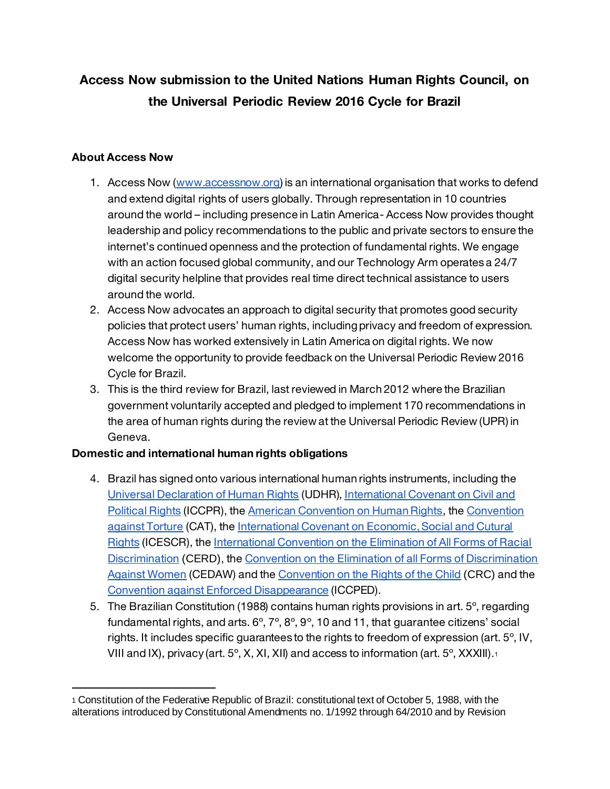# **Access Now submission to the United Nations Human Rights Council, on the Universal Periodic Review 2016 Cycle for Brazil**

# **About Access Now**

l

- 1. Access Now (www.accessnow.org) is an international organisation that works to defend and extend digital rights of users globally. Through representation in 10 countries around the world – including presence in Latin America- Access Now provides thought leadership and policy recommendations to the public and private sectors to ensure the internet's continued openness and the protection of fundamental rights. We engage with an action focused global community, and our Technology Arm operates a 24/7 digital security helpline that provides real time direct technical assistance to users around the world.
- 2. Access Now advocates an approach to digital security that promotes good security policies that protect users' human rights, including privacy and freedom of expression. Access Now has worked extensively in Latin America on digital rights. We now welcome the opportunity to provide feedback on the Universal Periodic Review 2016 Cycle for Brazil.
- 3. This is the third review for Brazil, last reviewed in March 2012 where the Brazilian government voluntarily accepted and pledged to implement 170 recommendations in the area of human rights during the review at the Universal Periodic Review (UPR) in Geneva.

#### **Domestic and international human rights obligations**

- 4. Brazil has signed onto various international human rights instruments, including the Universal Declaration of Human Rights (UDHR), International Covenant on Civil and Political Rights (ICCPR), the American Convention on Human Rights, the Convention against Torture (CAT), the International Covenant on Economic, Social and Cutural Rights (ICESCR), the International Convention on the Elimination of All Forms of Racial Discrimination (CERD), the Convention on the Elimination of all Forms of Discrimination Against Women (CEDAW) and the Convention on the Rights of the Child (CRC) and the Convention against Enforced Disappearance (ICCPED).
- 5. The Brazilian Constitution (1988) contains human rights provisions in art. 5º, regarding fundamental rights, and arts.  $6^\circ$ ,  $7^\circ$ ,  $8^\circ$ ,  $9^\circ$ , 10 and 11, that guarantee citizens' social rights. It includes specific guarantees to the rights to freedom of expression (art. 5º, IV, VIII and IX), privacy (art.  $5^{\circ}$ , X, XI, XII) and access to information (art.  $5^{\circ}$ , XXXIII).<sup>1</sup>

<sup>1</sup> Constitution of the Federative Republic of Brazil: constitutional text of October 5, 1988, with the alterations introduced by Constitutional Amendments no. 1/1992 through 64/2010 and by Revision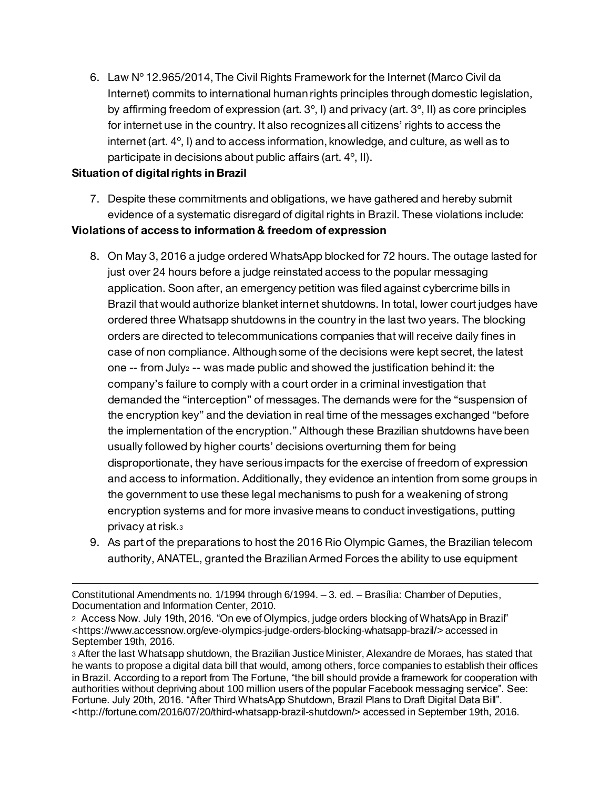6. Law Nº 12.965/2014, The Civil Rights Framework for the Internet (Marco Civil da Internet) commits to international human rights principles through domestic legislation, by affirming freedom of expression (art.  $3^\circ$ , I) and privacy (art.  $3^\circ$ , II) as core principles for internet use in the country. It also recognizes all citizens' rights to access the internet (art. 4º, I) and to access information, knowledge, and culture, as well as to participate in decisions about public affairs (art. 4º, II).

#### **Situation of digital rights in Brazil**

l

- 7. Despite these commitments and obligations, we have gathered and hereby submit evidence of a systematic disregard of digital rights in Brazil. These violations include: **Violations of access to information & freedom of expression**
	- 8. On May 3, 2016 a judge ordered WhatsApp blocked for 72 hours. The outage lasted for just over 24 hours before a judge reinstated access to the popular messaging application. Soon after, an emergency petition was filed against cybercrime bills in Brazil that would authorize blanket internet shutdowns. In total, lower court judges have ordered three Whatsapp shutdowns in the country in the last two years. The blocking orders are directed to telecommunications companies that will receive daily fines in case of non compliance. Although some of the decisions were kept secret, the latest one  $-$ - from July<sub>2</sub>  $-$ - was made public and showed the justification behind it: the company's failure to comply with a court order in a criminal investigation that demanded the "interception" of messages. The demands were for the "suspension of the encryption key" and the deviation in real time of the messages exchanged "before the implementation of the encryption." Although these Brazilian shutdowns have been usually followed by higher courts' decisions overturning them for being disproportionate, they have serious impacts for the exercise of freedom of expression and access to information. Additionally, they evidence an intention from some groups in the government to use these legal mechanisms to push for a weakening of strong encryption systems and for more invasive means to conduct investigations, putting privacy at risk.<sup>3</sup>
	- 9. As part of the preparations to host the 2016 Rio Olympic Games, the Brazilian telecom authority, ANATEL, granted the Brazilian Armed Forces the ability to use equipment

Constitutional Amendments no. 1/1994 through 6/1994. – 3. ed. – Brasília: Chamber of Deputies, Documentation and Information Center, 2010.

<sup>2</sup> Access Now. July 19th, 2016. "On eve of Olympics, judge orders blocking of WhatsApp in Brazil" <https://www.accessnow.org/eve-olympics-judge-orders-blocking-whatsapp-brazil/> accessed in September 19th, 2016.

<sup>3</sup> After the last Whatsapp shutdown, the Brazilian Justice Minister, Alexandre de Moraes, has stated that he wants to propose a digital data bill that would, among others, force companies to establish their offices in Brazil. According to a report from The Fortune, "the bill should provide a framework for cooperation with authorities without depriving about 100 million users of the popular Facebook messaging service". See: Fortune. July 20th, 2016. "After Third WhatsApp Shutdown, Brazil Plans to Draft Digital Data Bill". <http://fortune.com/2016/07/20/third-whatsapp-brazil-shutdown/> accessed in September 19th, 2016.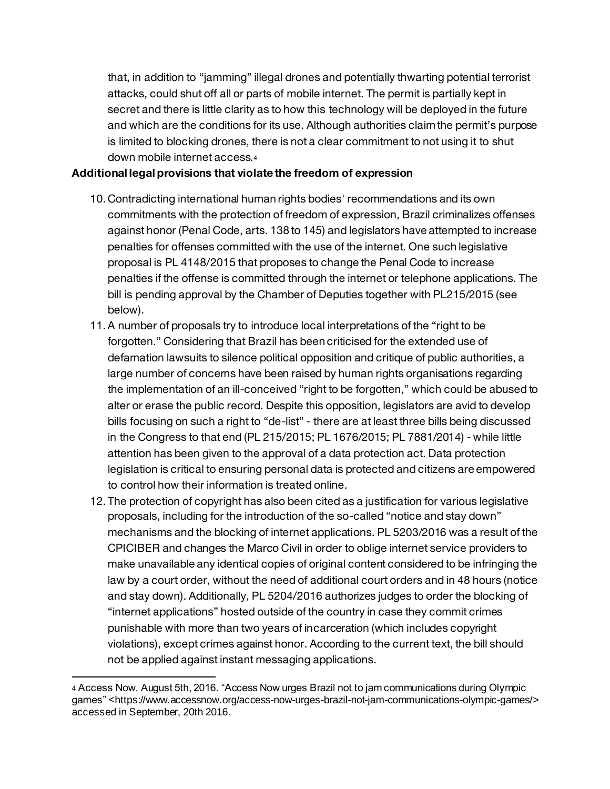that, in addition to "jamming" illegal drones and potentially thwarting potential terrorist attacks, could shut off all or parts of mobile internet. The permit is partially kept in secret and there is little clarity as to how this technology will be deployed in the future and which are the conditions for its use. Although authorities claim the permit's purpose is limited to blocking drones, there is not a clear commitment to not using it to shut down mobile internet access.<sup>4</sup>

## **Additional legal provisions that violate the freedom of expression**

- 10. Contradicting international human rights bodies' recommendations and its own commitments with the protection of freedom of expression, Brazil criminalizes offenses against honor (Penal Code, arts. 138 to 145) and legislators have attempted to increase penalties for offenses committed with the use of the internet. One such legislative proposal is PL 4148/2015 that proposes to change the Penal Code to increase penalties if the offense is committed through the internet or telephone applications. The bill is pending approval by the Chamber of Deputies together with PL215/2015 (see below).
- 11.A number of proposals try to introduce local interpretations of the "right to be forgotten." Considering that Brazil has been criticised for the extended use of defamation lawsuits to silence political opposition and critique of public authorities, a large number of concerns have been raised by human rights organisations regarding the implementation of an ill-conceived "right to be forgotten," which could be abused to alter or erase the public record. Despite this opposition, legislators are avid to develop bills focusing on such a right to "de-list" - there are at least three bills being discussed in the Congress to that end (PL 215/2015; PL 1676/2015; PL 7881/2014) - while little attention has been given to the approval of a data protection act. Data protection legislation is critical to ensuring personal data is protected and citizens are empowered to control how their information is treated online.
- 12. The protection of copyright has also been cited as a justification for various legislative proposals, including for the introduction of the so-called "notice and stay down" mechanisms and the blocking of internet applications. PL 5203/2016 was a result of the CPICIBER and changes the Marco Civil in order to oblige internet service providers to make unavailable any identical copies of original content considered to be infringing the law by a court order, without the need of additional court orders and in 48 hours (notice and stay down). Additionally, PL 5204/2016 authorizes judges to order the blocking of "internet applications" hosted outside of the country in case they commit crimes punishable with more than two years of incarceration (which includes copyright violations), except crimes against honor. According to the current text, the bill should not be applied against instant messaging applications.

 $\overline{a}$ 

<sup>4</sup> Access Now. August 5th, 2016. "Access Now urges Brazil not to jam communications during Olympic games" <https://www.accessnow.org/access-now-urges-brazil-not-jam-communications-olympic-games/> accessed in September, 20th 2016.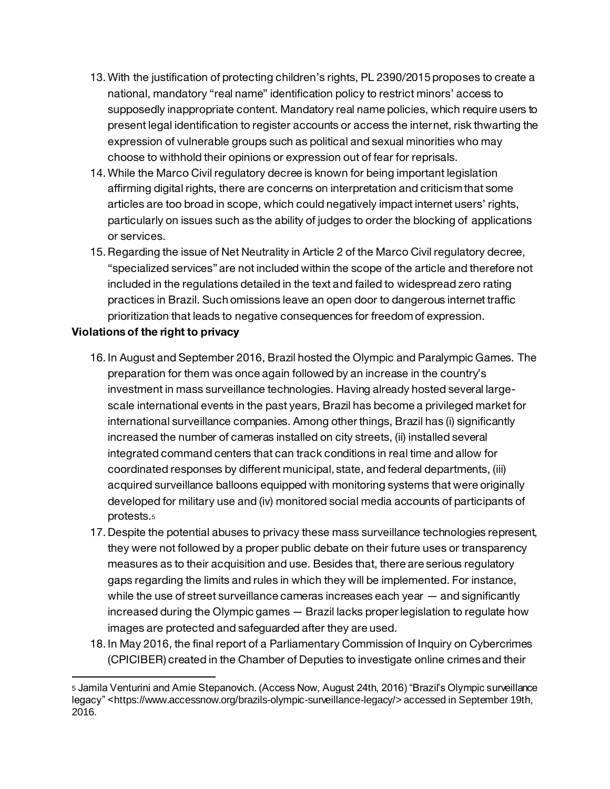- 13.With the justification of protecting children's rights, PL 2390/2015 proposes to create a national, mandatory "real name" identification policy to restrict minors' access to supposedly inappropriate content. Mandatory real name policies, which require users to present legal identification to register accounts or access the internet, risk thwarting the expression of vulnerable groups such as political and sexual minorities who may choose to withhold their opinions or expression out of fear for reprisals.
- 14.While the Marco Civil regulatory decree is known for being important legislation affirming digital rights, there are concerns on interpretation and criticism that some articles are too broad in scope, which could negatively impact internet users' rights, particularly on issues such as the ability of judges to order the blocking of applications or services.
- 15.Regarding the issue of Net Neutrality in Article 2 of the Marco Civil regulatory decree, "specialized services" are not included within the scope of the article and therefore not included in the regulations detailed in the text and failed to widespread zero rating practices in Brazil. Such omissions leave an open door to dangerous internet traffic prioritization that leads to negative consequences for freedom of expression.

# **Violations of the right to privacy**

 $\overline{a}$ 

- 16. In August and September 2016, Brazil hosted the Olympic and Paralympic Games. The preparation for them was once again followed by an increase in the country's investment in mass surveillance technologies. Having already hosted several largescale international events in the past years, Brazil has become a privileged market for international surveillance companies. Among other things, Brazil has (i) significantly increased the number of cameras installed on city streets, (ii) installed several integrated command centers that can track conditions in real time and allow for coordinated responses by different municipal, state, and federal departments, (iii) acquired surveillance balloons equipped with monitoring systems that were originally developed for military use and (iv) monitored social media accounts of participants of protests.<sup>5</sup>
- 17. Despite the potential abuses to privacy these mass surveillance technologies represent, they were not followed by a proper public debate on their future uses or transparency measures as to their acquisition and use. Besides that, there are serious regulatory gaps regarding the limits and rules in which they will be implemented. For instance, while the use of street surveillance cameras increases each year — and significantly increased during the Olympic games — Brazil lacks proper legislation to regulate how images are protected and safeguarded after they are used.
- 18. In May 2016, the final report of a Parliamentary Commission of Inquiry on Cybercrimes (CPICIBER) created in the Chamber of Deputies to investigate online crimes and their

<sup>5</sup> Jamila Venturini and Amie Stepanovich. (Access Now, August 24th, 2016) "Brazil's Olympic surveillance legacy" <https://www.accessnow.org/brazils-olympic-surveillance-legacy/> accessed in September 19th, 2016.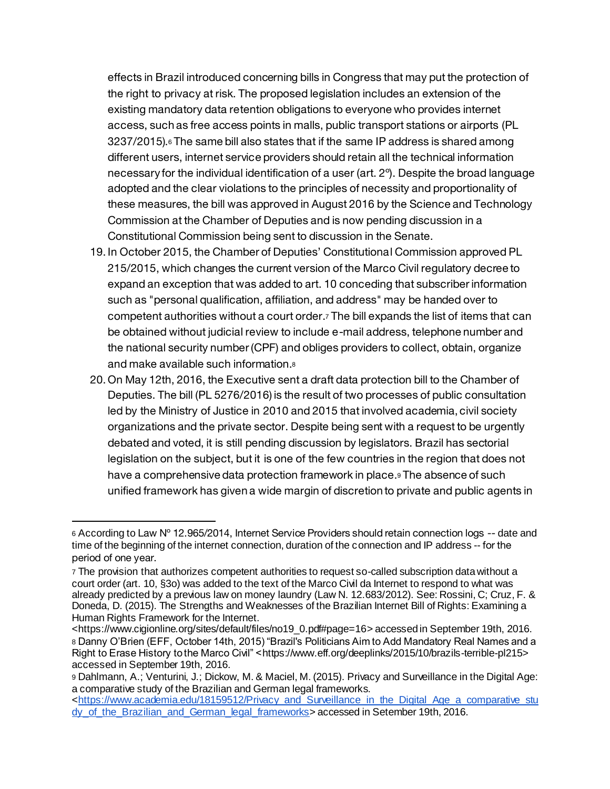effects in Brazil introduced concerning bills in Congress that may put the protection of the right to privacy at risk. The proposed legislation includes an extension of the existing mandatory data retention obligations to everyone who provides internet access, such as free access points in malls, public transport stations or airports (PL  $3237/2015$ ). $\epsilon$  The same bill also states that if the same IP address is shared among different users, internet service providers should retain all the technical information necessary for the individual identification of a user (art. 2º). Despite the broad language adopted and the clear violations to the principles of necessity and proportionality of these measures, the bill was approved in August 2016 by the Science and Technology Commission at the Chamber of Deputies and is now pending discussion in a Constitutional Commission being sent to discussion in the Senate.

- 19. In October 2015, the Chamber of Deputies' Constitutional Commission approved PL 215/2015, which changes the current version of the Marco Civil regulatory decree to expand an exception that was added to art. 10 conceding that subscriber information such as "personal qualification, affiliation, and address" may be handed over to competent authorities without a court order.<sup>7</sup> The bill expands the list of items that can be obtained without judicial review to include e-mail address, telephone number and the national security number (CPF) and obliges providers to collect, obtain, organize and make available such information.<sup>8</sup>
- 20. On May 12th, 2016, the Executive sent a draft data protection bill to the Chamber of Deputies. The bill (PL 5276/2016) is the result of two processes of public consultation led by the Ministry of Justice in 2010 and 2015 that involved academia, civil society organizations and the private sector. Despite being sent with a request to be urgently debated and voted, it is still pending discussion by legislators. Brazil has sectorial legislation on the subject, but it is one of the few countries in the region that does not have a comprehensive data protection framework in place.<sup>9</sup> The absence of such unified framework has given a wide margin of discretion to private and public agents in

l

<sup>6</sup> According to Law Nº 12.965/2014, Internet Service Providers should retain connection logs -- date and time of the beginning of the internet connection, duration of the connection and IP address -- for the period of one year.

<sup>7</sup> The provision that authorizes competent authorities to request so-called subscription data without a court order (art. 10, §3o) was added to the text of the Marco Civil da Internet to respond to what was already predicted by a previous law on money laundry (Law N. 12.683/2012). See: Rossini, C; Cruz, F. & Doneda, D. (2015). The Strengths and Weaknesses of the Brazilian Internet Bill of Rights: Examining a Human Rights Framework for the Internet.

<sup>&</sup>lt;https://www.cigionline.org/sites/default/files/no19\_0.pdf#page=16> accessed in September 19th, 2016. <sup>8</sup> Danny O'Brien (EFF, October 14th, 2015) "Brazil's Politicians Aim to Add Mandatory Real Names and a Right to Erase History to the Marco Civil" <https://www.eff.org/deeplinks/2015/10/brazils-terrible-pl215> accessed in September 19th, 2016.

<sup>9</sup> Dahlmann, A.; Venturini, J.; Dickow, M. & Maciel, M. (2015). Privacy and Surveillance in the Digital Age: a comparative study of the Brazilian and German legal frameworks.

<sup>&</sup>lt;https://www.academia.edu/18159512/Privacy\_and\_Surveillance\_in\_the\_Digital\_Age\_a\_comparative\_stu dy\_of\_the\_Brazilian\_and\_German\_legal\_frameworks> accessed in Setember 19th, 2016.